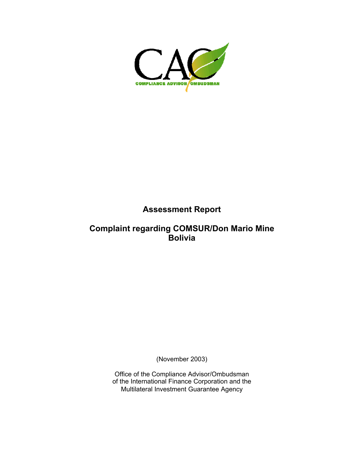

### **Assessment Report**

#### **Complaint regarding COMSUR/Don Mario Mine Bolivia**

(November 2003)

Office of the Compliance Advisor/Ombudsman of the International Finance Corporation and the Multilateral Investment Guarantee Agency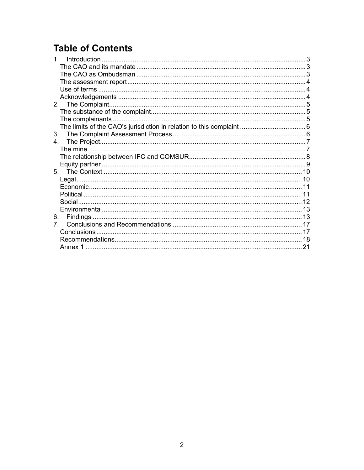# **Table of Contents**

| 3.                             |  |
|--------------------------------|--|
| $4_{-}$                        |  |
|                                |  |
|                                |  |
|                                |  |
| 5.                             |  |
|                                |  |
|                                |  |
|                                |  |
|                                |  |
|                                |  |
| 6.                             |  |
| $7_{\scriptscriptstyle{\sim}}$ |  |
|                                |  |
|                                |  |
|                                |  |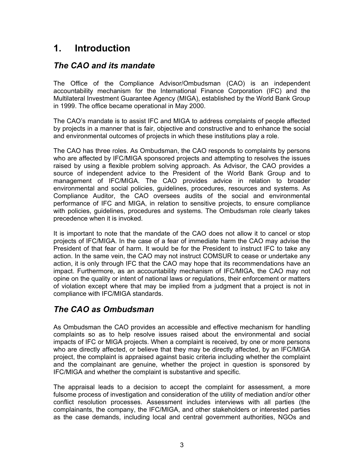# <span id="page-2-0"></span>**1. Introduction**

### *The CAO and its mandate*

The Office of the Compliance Advisor/Ombudsman (CAO) is an independent accountability mechanism for the International Finance Corporation (IFC) and the Multilateral Investment Guarantee Agency (MIGA), established by the World Bank Group in 1999. The office became operational in May 2000.

The CAO's mandate is to assist IFC and MIGA to address complaints of people affected by projects in a manner that is fair, objective and constructive and to enhance the social and environmental outcomes of projects in which these institutions play a role.

The CAO has three roles. As Ombudsman, the CAO responds to complaints by persons who are affected by IFC/MIGA sponsored projects and attempting to resolves the issues raised by using a flexible problem solving approach. As Advisor, the CAO provides a source of independent advice to the President of the World Bank Group and to management of IFC/MIGA. The CAO provides advice in relation to broader environmental and social policies, guidelines, procedures, resources and systems. As Compliance Auditor, the CAO oversees audits of the social and environmental performance of IFC and MIGA, in relation to sensitive projects, to ensure compliance with policies, guidelines, procedures and systems. The Ombudsman role clearly takes precedence when it is invoked.

It is important to note that the mandate of the CAO does not allow it to cancel or stop projects of IFC/MIGA. In the case of a fear of immediate harm the CAO may advise the President of that fear of harm. It would be for the President to instruct IFC to take any action. In the same vein, the CAO may not instruct COMSUR to cease or undertake any action, it is only through IFC that the CAO may hope that its recommendations have an impact. Furthermore, as an accountability mechanism of IFC/MIGA, the CAO may not opine on the quality or intent of national laws or regulations, their enforcement or matters of violation except where that may be implied from a judgment that a project is not in compliance with IFC/MIGA standards.

### *The CAO as Ombudsman*

As Ombudsman the CAO provides an accessible and effective mechanism for handling complaints so as to help resolve issues raised about the environmental and social impacts of IFC or MIGA projects. When a complaint is received, by one or more persons who are directly affected, or believe that they may be directly affected, by an IFC/MIGA project, the complaint is appraised against basic criteria including whether the complaint and the complainant are genuine, whether the project in question is sponsored by IFC/MIGA and whether the complaint is substantive and specific.

The appraisal leads to a decision to accept the complaint for assessment, a more fulsome process of investigation and consideration of the utility of mediation and/or other conflict resolution processes. Assessment includes interviews with all parties (the complainants, the company, the IFC/MIGA, and other stakeholders or interested parties as the case demands, including local and central government authorities, NGOs and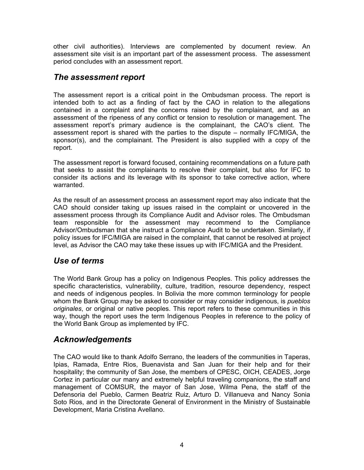<span id="page-3-0"></span>other civil authorities). Interviews are complemented by document review. An assessment site visit is an important part of the assessment process. The assessment period concludes with an assessment report.

#### *The assessment report*

The assessment report is a critical point in the Ombudsman process. The report is intended both to act as a finding of fact by the CAO in relation to the allegations contained in a complaint and the concerns raised by the complainant, and as an assessment of the ripeness of any conflict or tension to resolution or management. The assessment report's primary audience is the complainant, the CAO's client. The assessment report is shared with the parties to the dispute – normally IFC/MIGA, the sponsor(s), and the complainant. The President is also supplied with a copy of the report.

The assessment report is forward focused, containing recommendations on a future path that seeks to assist the complainants to resolve their complaint, but also for IFC to consider its actions and its leverage with its sponsor to take corrective action, where warranted.

As the result of an assessment process an assessment report may also indicate that the CAO should consider taking up issues raised in the complaint or uncovered in the assessment process through its Compliance Audit and Advisor roles. The Ombudsman team responsible for the assessment may recommend to the Compliance Advisor/Ombudsman that she instruct a Compliance Audit to be undertaken. Similarly, if policy issues for IFC/MIGA are raised in the complaint, that cannot be resolved at project level, as Advisor the CAO may take these issues up with IFC/MIGA and the President.

#### *Use of terms*

The World Bank Group has a policy on Indigenous Peoples. This policy addresses the specific characteristics, vulnerability, culture, tradition, resource dependency, respect and needs of indigenous peoples. In Bolivia the more common terminology for people whom the Bank Group may be asked to consider or may consider indigenous, is *pueblos originales*, or original or native peoples. This report refers to these communities in this way, though the report uses the term Indigenous Peoples in reference to the policy of the World Bank Group as implemented by IFC.

#### *Acknowledgements*

The CAO would like to thank Adolfo Serrano, the leaders of the communities in Taperas, Ipias, Ramada, Entre Rios, Buenavista and San Juan for their help and for their hospitality; the community of San Jose, the members of CPESC, OICH, CEADES, Jorge Cortez in particular our many and extremely helpful traveling companions, the staff and management of COMSUR, the mayor of San Jose, Wilma Pena, the staff of the Defensoria del Pueblo, Carmen Beatriz Ruiz, Arturo D. Villanueva and Nancy Sonia Soto Rios, and in the Directorate General of Environment in the Ministry of Sustainable Development, Maria Cristina Avellano.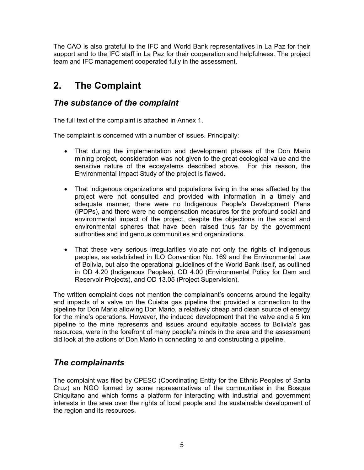<span id="page-4-0"></span>The CAO is also grateful to the IFC and World Bank representatives in La Paz for their support and to the IFC staff in La Paz for their cooperation and helpfulness. The project team and IFC management cooperated fully in the assessment.

# **2. The Complaint**

#### *The substance of the complaint*

The full text of the complaint is attached in Annex 1.

The complaint is concerned with a number of issues. Principally:

- That during the implementation and development phases of the Don Mario mining project, consideration was not given to the great ecological value and the sensitive nature of the ecosystems described above. For this reason, the Environmental Impact Study of the project is flawed.
- That indigenous organizations and populations living in the area affected by the project were not consulted and provided with information in a timely and adequate manner, there were no Indigenous People's Development Plans (IPDPs), and there were no compensation measures for the profound social and environmental impact of the project, despite the objections in the social and environmental spheres that have been raised thus far by the government authorities and indigenous communities and organizations.
- That these very serious irregularities violate not only the rights of indigenous peoples, as established in ILO Convention No. 169 and the Environmental Law of Bolivia, but also the operational guidelines of the World Bank itself, as outlined in OD 4.20 (Indigenous Peoples), OD 4.00 (Environmental Policy for Dam and Reservoir Projects), and OD 13.05 (Project Supervision).

The written complaint does not mention the complainant's concerns around the legality and impacts of a valve on the Cuiaba gas pipeline that provided a connection to the pipeline for Don Mario allowing Don Mario, a relatively cheap and clean source of energy for the mine's operations. However, the induced development that the valve and a 5 km pipeline to the mine represents and issues around equitable access to Bolivia's gas resources, were in the forefront of many people's minds in the area and the assessment did look at the actions of Don Mario in connecting to and constructing a pipeline.

### *The complainants*

The complaint was filed by CPESC (Coordinating Entity for the Ethnic Peoples of Santa Cruz) an NGO formed by some representatives of the communities in the Bosque Chiquitano and which forms a platform for interacting with industrial and government interests in the area over the rights of local people and the sustainable development of the region and its resources.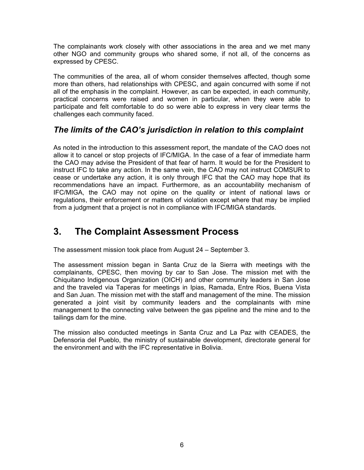<span id="page-5-0"></span>The complainants work closely with other associations in the area and we met many other NGO and community groups who shared some, if not all, of the concerns as expressed by CPESC.

The communities of the area, all of whom consider themselves affected, though some more than others, had relationships with CPESC, and again concurred with some if not all of the emphasis in the complaint. However, as can be expected, in each community, practical concerns were raised and women in particular, when they were able to participate and felt comfortable to do so were able to express in very clear terms the challenges each community faced.

### *The limits of the CAO's jurisdiction in relation to this complaint*

As noted in the introduction to this assessment report, the mandate of the CAO does not allow it to cancel or stop projects of IFC/MIGA. In the case of a fear of immediate harm the CAO may advise the President of that fear of harm. It would be for the President to instruct IFC to take any action. In the same vein, the CAO may not instruct COMSUR to cease or undertake any action, it is only through IFC that the CAO may hope that its recommendations have an impact. Furthermore, as an accountability mechanism of IFC/MIGA, the CAO may not opine on the quality or intent of national laws or regulations, their enforcement or matters of violation except where that may be implied from a judgment that a project is not in compliance with IFC/MIGA standards.

# **3. The Complaint Assessment Process**

The assessment mission took place from August 24 – September 3.

The assessment mission began in Santa Cruz de la Sierra with meetings with the complainants, CPESC, then moving by car to San Jose. The mission met with the Chiquitano Indigenous Organization (OICH) and other community leaders in San Jose and the traveled via Taperas for meetings in Ipias, Ramada, Entre Rios, Buena Vista and San Juan. The mission met with the staff and management of the mine. The mission generated a joint visit by community leaders and the complainants with mine management to the connecting valve between the gas pipeline and the mine and to the tailings dam for the mine.

The mission also conducted meetings in Santa Cruz and La Paz with CEADES, the Defensoria del Pueblo, the ministry of sustainable development, directorate general for the environment and with the IFC representative in Bolivia.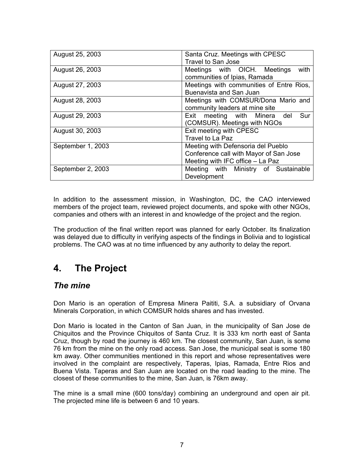<span id="page-6-0"></span>

| August 25, 2003   | Santa Cruz. Meetings with CPESC          |
|-------------------|------------------------------------------|
|                   | <b>Travel to San Jose</b>                |
| August 26, 2003   | with<br>Meetings with OICH. Meetings     |
|                   | communities of Ipias, Ramada             |
| August 27, 2003   | Meetings with communities of Entre Rios, |
|                   | Buenavista and San Juan                  |
| August 28, 2003   | Meetings with COMSUR/Dona Mario and      |
|                   | community leaders at mine site           |
| August 29, 2003   | Sur<br>Exit meeting with Minera del      |
|                   | (COMSUR). Meetings with NGOs             |
| August 30, 2003   | Exit meeting with CPESC                  |
|                   | Travel to La Paz                         |
| September 1, 2003 | Meeting with Defensoria del Pueblo       |
|                   | Conference call with Mayor of San Jose   |
|                   | Meeting with IFC office - La Paz         |
| September 2, 2003 | Meeting with Ministry of Sustainable     |
|                   | Development                              |

In addition to the assessment mission, in Washington, DC, the CAO interviewed members of the project team, reviewed project documents, and spoke with other NGOs, companies and others with an interest in and knowledge of the project and the region.

The production of the final written report was planned for early October. Its finalization was delayed due to difficulty in verifying aspects of the findings in Bolivia and to logistical problems. The CAO was at no time influenced by any authority to delay the report.

# **4. The Project**

#### *The mine*

Don Mario is an operation of Empresa Minera Paititi, S.A. a subsidiary of Orvana Minerals Corporation, in which COMSUR holds shares and has invested.

Don Mario is located in the Canton of San Juan, in the municipality of San Jose de Chiquitos and the Province Chiquitos of Santa Cruz. It is 333 km north east of Santa Cruz, though by road the journey is 460 km. The closest community, San Juan, is some 76 km from the mine on the only road access. San Jose, the municipal seat is some 180 km away. Other communities mentioned in this report and whose representatives were involved in the complaint are respectively, Taperas, Ipias, Ramada, Entre Rios and Buena Vista. Taperas and San Juan are located on the road leading to the mine. The closest of these communities to the mine, San Juan, is 76km away.

The mine is a small mine (600 tons/day) combining an underground and open air pit. The projected mine life is between 6 and 10 years.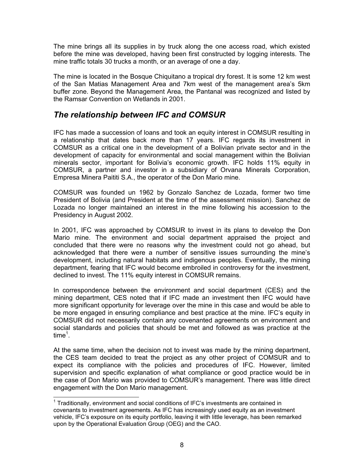<span id="page-7-0"></span>The mine brings all its supplies in by truck along the one access road, which existed before the mine was developed, having been first constructed by logging interests. The mine traffic totals 30 trucks a month, or an average of one a day.

The mine is located in the Bosque Chiquitano a tropical dry forest. It is some 12 km west of the San Matias Management Area and 7km west of the management area's 5km buffer zone. Beyond the Management Area, the Pantanal was recognized and listed by the Ramsar Convention on Wetlands in 2001.

#### *The relationship between IFC and COMSUR*

IFC has made a succession of loans and took an equity interest in COMSUR resulting in a relationship that dates back more than 17 years. IFC regards its investment in COMSUR as a critical one in the development of a Bolivian private sector and in the development of capacity for environmental and social management within the Bolivian minerals sector, important for Bolivia's economic growth. IFC holds 11% equity in COMSUR, a partner and investor in a subsidiary of Orvana Minerals Corporation, Empresa Minera Paititi S.A., the operator of the Don Mario mine.

COMSUR was founded un 1962 by Gonzalo Sanchez de Lozada, former two time President of Bolivia (and President at the time of the assessment mission). Sanchez de Lozada no longer maintained an interest in the mine following his accession to the Presidency in August 2002.

In 2001, IFC was approached by COMSUR to invest in its plans to develop the Don Mario mine. The environment and social department appraised the project and concluded that there were no reasons why the investment could not go ahead, but acknowledged that there were a number of sensitive issues surrounding the mine's development, including natural habitats and indigenous peoples. Eventually, the mining department, fearing that IFC would become embroiled in controversy for the investment, declined to invest. The 11% equity interest in COMSUR remains.

In correspondence between the environment and social department (CES) and the mining department, CES noted that if IFC made an investment then IFC would have more significant opportunity for leverage over the mine in this case and would be able to be more engaged in ensuring compliance and best practice at the mine. IFC's equity in COMSUR did not necessarily contain any covenanted agreements on environment and social standards and policies that should be met and followed as was practice at the time $^1$  $^1$ .

At the same time, when the decision not to invest was made by the mining department, the CES team decided to treat the project as any other project of COMSUR and to expect its compliance with the policies and procedures of IFC. However, limited supervision and specific explanation of what compliance or good practice would be in the case of Don Mario was provided to COMSUR's management. There was little direct engagement with the Don Mario management.

<span id="page-7-1"></span><sup>&</sup>lt;u>nessen measure measure</u><br><sup>1</sup> Traditionally, environment and social conditions of IFC's investments are contained in covenants to investment agreements. As IFC has increasingly used equity as an investment vehicle, IFC's exposure on its equity portfolio, leaving it with little leverage, has been remarked upon by the Operational Evaluation Group (OEG) and the CAO.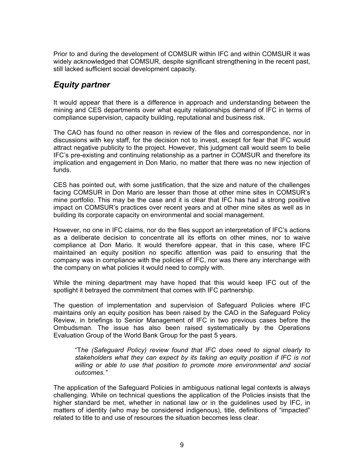<span id="page-8-0"></span>Prior to and during the development of COMSUR within IFC and within COMSUR it was widely acknowledged that COMSUR, despite significant strengthening in the recent past, still lacked sufficient social development capacity.

### *Equity partner*

It would appear that there is a difference in approach and understanding between the mining and CES departments over what equity relationships demand of IFC in terms of compliance supervision, capacity building, reputational and business risk.

The CAO has found no other reason in review of the files and correspondence, nor in discussions with key staff, for the decision not to invest, except for fear that IFC would attract negative publicity to the project. However, this judgment call would seem to belie IFC's pre-existing and continuing relationship as a partner in COMSUR and therefore its implication and engagement in Don Mario, no matter that there was no new injection of funds.

CES has pointed out, with some justification, that the size and nature of the challenges facing COMSUR in Don Mario are lesser than those at other mine sites in COMSUR's mine portfolio. This may be the case and it is clear that IFC has had a strong positive impact on COMSUR's practices over recent years and at other mine sites as well as in building its corporate capacity on environmental and social management.

However, no one in IFC claims, nor do the files support an interpretation of IFC's actions as a deliberate decision to concentrate all its efforts on other mines, nor to waive compliance at Don Mario. It would therefore appear, that in this case, where IFC maintained an equity position no specific attention was paid to ensuring that the company was in compliance with the policies of IFC, nor was there any interchange with the company on what policies it would need to comply with.

While the mining department may have hoped that this would keep IFC out of the spotlight it betrayed the commitment that comes with IFC partnership.

The question of implementation and supervision of Safeguard Policies where IFC maintains only an equity position has been raised by the CAO in the Safeguard Policy Review, in briefings to Senior Management of IFC in two previous cases before the Ombudsman. The issue has also been raised systematically by the Operations Evaluation Group of the World Bank Group for the past 5 years.

"T*he (Safeguard Policy) review found that IFC does need to signal clearly to stakeholders what they can expect by its taking an equity position if IFC is not willing or able to use that position to promote more environmental and social outcomes."*

The application of the Safeguard Policies in ambiguous national legal contexts is always challenging. While on technical questions the application of the Policies insists that the higher standard be met, whether in national law or in the guidelines used by IFC, in matters of identity (who may be considered indigenous), title, definitions of "impacted" related to title to and use of resources the situation becomes less clear.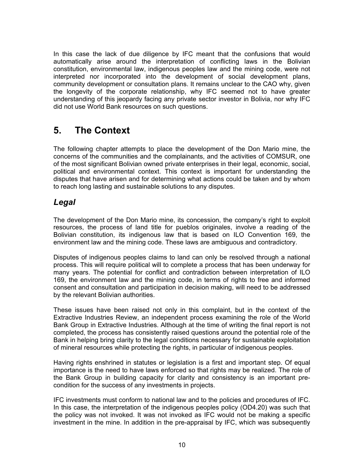<span id="page-9-0"></span>In this case the lack of due diligence by IFC meant that the confusions that would automatically arise around the interpretation of conflicting laws in the Bolivian constitution, environmental law, indigenous peoples law and the mining code, were not interpreted nor incorporated into the development of social development plans, community development or consultation plans. It remains unclear to the CAO why, given the longevity of the corporate relationship, why IFC seemed not to have greater understanding of this jeopardy facing any private sector investor in Bolivia, nor why IFC did not use World Bank resources on such questions.

# **5. The Context**

The following chapter attempts to place the development of the Don Mario mine, the concerns of the communities and the complainants, and the activities of COMSUR, one of the most significant Bolivian owned private enterprises in their legal, economic, social, political and environmental context. This context is important for understanding the disputes that have arisen and for determining what actions could be taken and by whom to reach long lasting and sustainable solutions to any disputes.

### *Legal*

The development of the Don Mario mine, its concession, the company's right to exploit resources, the process of land title for pueblos originales, involve a reading of the Bolivian constitution, its indigenous law that is based on ILO Convention 169, the environment law and the mining code. These laws are ambiguous and contradictory.

Disputes of indigenous peoples claims to land can only be resolved through a national process. This will require political will to complete a process that has been underway for many years. The potential for conflict and contradiction between interpretation of ILO 169, the environment law and the mining code, in terms of rights to free and informed consent and consultation and participation in decision making, will need to be addressed by the relevant Bolivian authorities.

These issues have been raised not only in this complaint, but in the context of the Extractive Industries Review, an independent process examining the role of the World Bank Group in Extractive Industries. Although at the time of writing the final report is not completed, the process has consistently raised questions around the potential role of the Bank in helping bring clarity to the legal conditions necessary for sustainable exploitation of mineral resources while protecting the rights, in particular of indigenous peoples.

Having rights enshrined in statutes or legislation is a first and important step. Of equal importance is the need to have laws enforced so that rights may be realized. The role of the Bank Group in building capacity for clarity and consistency is an important precondition for the success of any investments in projects.

IFC investments must conform to national law and to the policies and procedures of IFC. In this case, the interpretation of the indigenous peoples policy (OD4.20) was such that the policy was not invoked. It was not invoked as IFC would not be making a specific investment in the mine. In addition in the pre-appraisal by IFC, which was subsequently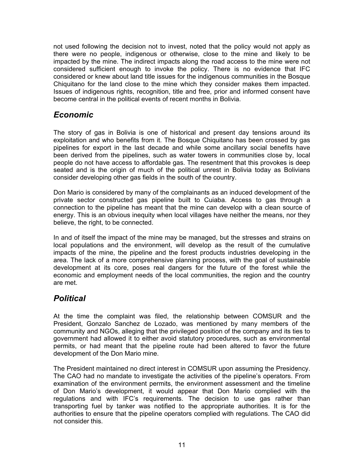<span id="page-10-0"></span>not used following the decision not to invest, noted that the policy would not apply as there were no people, indigenous or otherwise, close to the mine and likely to be impacted by the mine. The indirect impacts along the road access to the mine were not considered sufficient enough to invoke the policy. There is no evidence that IFC considered or knew about land title issues for the indigenous communities in the Bosque Chiquitano for the land close to the mine which they consider makes them impacted. Issues of indigenous rights, recognition, title and free, prior and informed consent have become central in the political events of recent months in Bolivia.

#### *Economic*

The story of gas in Bolivia is one of historical and present day tensions around its exploitation and who benefits from it. The Bosque Chiquitano has been crossed by gas pipelines for export in the last decade and while some ancillary social benefits have been derived from the pipelines, such as water towers in communities close by, local people do not have access to affordable gas. The resentment that this provokes is deep seated and is the origin of much of the political unrest in Bolivia today as Bolivians consider developing other gas fields in the south of the country.

Don Mario is considered by many of the complainants as an induced development of the private sector constructed gas pipeline built to Cuiaba. Access to gas through a connection to the pipeline has meant that the mine can develop with a clean source of energy. This is an obvious inequity when local villages have neither the means, nor they believe, the right, to be connected.

In and of itself the impact of the mine may be managed, but the stresses and strains on local populations and the environment, will develop as the result of the cumulative impacts of the mine, the pipeline and the forest products industries developing in the area. The lack of a more comprehensive planning process, with the goal of sustainable development at its core, poses real dangers for the future of the forest while the economic and employment needs of the local communities, the region and the country are met.

#### *Political*

At the time the complaint was filed, the relationship between COMSUR and the President, Gonzalo Sanchez de Lozado, was mentioned by many members of the community and NGOs, alleging that the privileged position of the company and its ties to government had allowed it to either avoid statutory procedures, such as environmental permits, or had meant that the pipeline route had been altered to favor the future development of the Don Mario mine.

The President maintained no direct interest in COMSUR upon assuming the Presidency. The CAO had no mandate to investigate the activities of the pipeline's operators. From examination of the environment permits, the environment assessment and the timeline of Don Mario's development, it would appear that Don Mario complied with the regulations and with IFC's requirements. The decision to use gas rather than transporting fuel by tanker was notified to the appropriate authorities. It is for the authorities to ensure that the pipeline operators complied with regulations. The CAO did not consider this.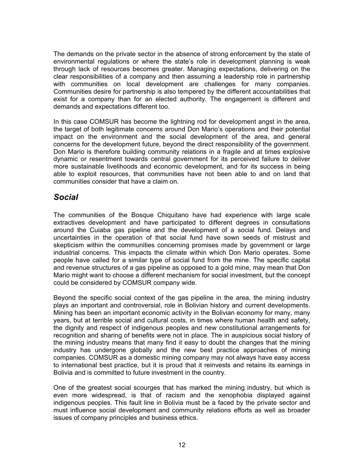<span id="page-11-0"></span>The demands on the private sector in the absence of strong enforcement by the state of environmental regulations or where the state's role in development planning is weak through lack of resources becomes greater. Managing expectations, delivering on the clear responsibilities of a company and then assuming a leadership role in partnership with communities on local development are challenges for many companies. Communities desire for partnership is also tempered by the different accountabilities that exist for a company than for an elected authority. The engagement is different and demands and expectations different too.

In this case COMSUR has become the lightning rod for development angst in the area, the target of both legitimate concerns around Don Mario's operations and their potential impact on the environment and the social development of the area, and general concerns for the development future, beyond the direct responsibility of the government. Don Mario is therefore building community relations in a fragile and at times explosive dynamic or resentment towards central government for its perceived failure to deliver more sustainable livelihoods and economic development, and for its success in being able to exploit resources, that communities have not been able to and on land that communities consider that have a claim on.

#### *Social*

The communities of the Bosque Chiquitano have had experience with large scale extractives development and have participated to different degrees in consultations around the Cuiaba gas pipeline and the development of a social fund. Delays and uncertainties in the operation of that social fund have sown seeds of mistrust and skepticism within the communities concerning promises made by government or large industrial concerns. This impacts the climate within which Don Mario operates. Some people have called for a similar type of social fund from the mine. The specific capital and revenue structures of a gas pipeline as opposed to a gold mine, may mean that Don Mario might want to choose a different mechanism for social investment, but the concept could be considered by COMSUR company wide.

Beyond the specific social context of the gas pipeline in the area, the mining industry plays an important and controversial, role in Bolivian history and current developments. Mining has been an important economic activity in the Bolivian economy for many, many years, but at terrible social and cultural costs, in times where human health and safety, the dignity and respect of indigenous peoples and new constitutional arrangements for recognition and sharing of benefits were not in place. The in auspicious social history of the mining industry means that many find it easy to doubt the changes that the mining industry has undergone globally and the new best practice approaches of mining companies. COMSUR as a domestic mining company may not always have easy access to international best practice, but it is proud that it reinvests and retains its earnings in Bolivia and is committed to future investment in the country.

One of the greatest social scourges that has marked the mining industry, but which is even more widespread, is that of racism and the xenophobia displayed against indigenous peoples. This fault line in Bolivia must be a faced by the private sector and must influence social development and community relations efforts as well as broader issues of company principles and business ethics.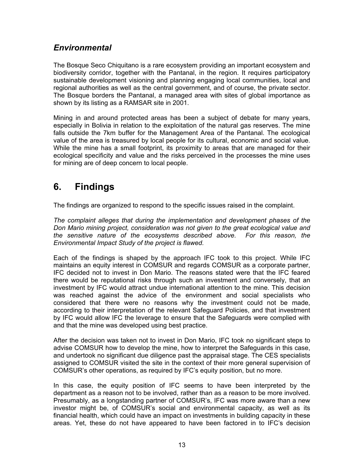#### <span id="page-12-0"></span>*Environmental*

The Bosque Seco Chiquitano is a rare ecosystem providing an important ecosystem and biodiversity corridor, together with the Pantanal, in the region. It requires participatory sustainable development visioning and planning engaging local communities, local and regional authorities as well as the central government, and of course, the private sector. The Bosque borders the Pantanal, a managed area with sites of global importance as shown by its listing as a RAMSAR site in 2001.

Mining in and around protected areas has been a subject of debate for many years, especially in Bolivia in relation to the exploitation of the natural gas reserves. The mine falls outside the 7km buffer for the Management Area of the Pantanal. The ecological value of the area is treasured by local people for its cultural, economic and social value. While the mine has a small footprint, its proximity to areas that are managed for their ecological specificity and value and the risks perceived in the processes the mine uses for mining are of deep concern to local people.

# **6. Findings**

The findings are organized to respond to the specific issues raised in the complaint.

*The complaint alleges that during the implementation and development phases of the Don Mario mining project, consideration was not given to the great ecological value and the sensitive nature of the ecosystems described above. For this reason, the Environmental Impact Study of the project is flawed.* 

Each of the findings is shaped by the approach IFC took to this project. While IFC maintains an equity interest in COMSUR and regards COMSUR as a corporate partner, IFC decided not to invest in Don Mario. The reasons stated were that the IFC feared there would be reputational risks through such an investment and conversely, that an investment by IFC would attract undue international attention to the mine. This decision was reached against the advice of the environment and social specialists who considered that there were no reasons why the investment could not be made, according to their interpretation of the relevant Safeguard Policies, and that investment by IFC would allow IFC the leverage to ensure that the Safeguards were complied with and that the mine was developed using best practice.

After the decision was taken not to invest in Don Mario, IFC took no significant steps to advise COMSUR how to develop the mine, how to interpret the Safeguards in this case, and undertook no significant due diligence past the appraisal stage. The CES specialists assigned to COMSUR visited the site in the context of their more general supervision of COMSUR's other operations, as required by IFC's equity position, but no more.

In this case, the equity position of IFC seems to have been interpreted by the department as a reason not to be involved, rather than as a reason to be more involved. Presumably, as a longstanding partner of COMSUR's, IFC was more aware than a new investor might be, of COMSUR's social and environmental capacity, as well as its financial health, which could have an impact on investments in building capacity in these areas. Yet, these do not have appeared to have been factored in to IFC's decision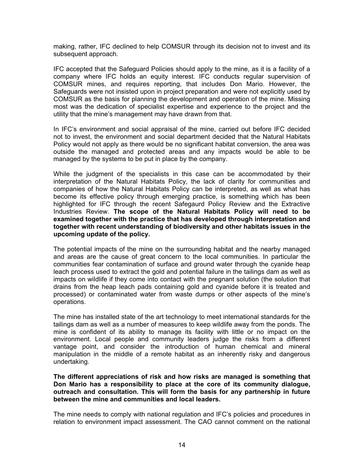making, rather, IFC declined to help COMSUR through its decision not to invest and its subsequent approach.

IFC accepted that the Safeguard Policies should apply to the mine, as it is a facility of a company where IFC holds an equity interest. IFC conducts regular supervision of COMSUR mines, and requires reporting, that includes Don Mario. However, the Safeguards were not insisted upon in project preparation and were not explicitly used by COMSUR as the basis for planning the development and operation of the mine. Missing most was the dedication of specialist expertise and experience to the project and the utility that the mine's management may have drawn from that.

In IFC's environment and social appraisal of the mine, carried out before IFC decided not to invest, the environment and social department decided that the Natural Habitats Policy would not apply as there would be no significant habitat conversion, the area was outside the managed and protected areas and any impacts would be able to be managed by the systems to be put in place by the company.

While the judgment of the specialists in this case can be accommodated by their interpretation of the Natural Habitats Policy, the lack of clarity for communities and companies of how the Natural Habitats Policy can be interpreted, as well as what has become its effective policy through emerging practice, is something which has been highlighted for IFC through the recent Safegaurd Policy Review and the Extractive Industries Review. **The scope of the Natural Habitats Policy will need to be examined together with the practice that has developed through interpretation and together with recent understanding of biodiversity and other habitats issues in the upcoming update of the policy.**

The potential impacts of the mine on the surrounding habitat and the nearby managed and areas are the cause of great concern to the local communities. In particular the communities fear contamination of surface and ground water through the cyanide heap leach process used to extract the gold and potential failure in the tailings dam as well as impacts on wildlife if they come into contact with the pregnant solution (the solution that drains from the heap leach pads containing gold and cyanide before it is treated and processed) or contaminated water from waste dumps or other aspects of the mine's operations.

The mine has installed state of the art technology to meet international standards for the tailings dam as well as a number of measures to keep wildlife away from the ponds. The mine is confident of its ability to manage its facility with little or no impact on the environment. Local people and community leaders judge the risks from a different vantage point, and consider the introduction of human chemical and mineral manipulation in the middle of a remote habitat as an inherently risky and dangerous undertaking.

**The different appreciations of risk and how risks are managed is something that Don Mario has a responsibility to place at the core of its community dialogue, outreach and consultation. This will form the basis for any partnership in future between the mine and communities and local leaders.** 

The mine needs to comply with national regulation and IFC's policies and procedures in relation to environment impact assessment. The CAO cannot comment on the national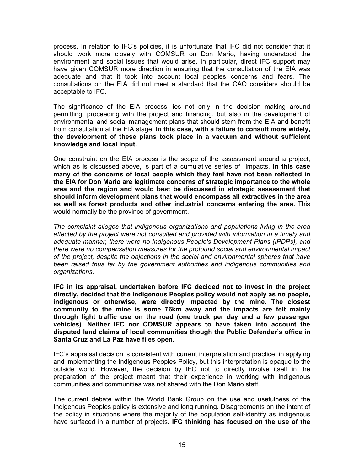process. In relation to IFC's policies, it is unfortunate that IFC did not consider that it should work more closely with COMSUR on Don Mario, having understood the environment and social issues that would arise. In particular, direct IFC support may have given COMSUR more direction in ensuring that the consultation of the EIA was adequate and that it took into account local peoples concerns and fears. The consultations on the EIA did not meet a standard that the CAO considers should be acceptable to IFC.

The significance of the EIA process lies not only in the decision making around permitting, proceeding with the project and financing, but also in the development of environmental and social management plans that should stem from the EIA and benefit from consultation at the EIA stage. **In this case, with a failure to consult more widely, the development of these plans took place in a vacuum and without sufficient knowledge and local input.** 

One constraint on the EIA process is the scope of the assessment around a project, which as is discussed above, is part of a cumulative series of impacts. **In this case many of the concerns of local people which they feel have not been reflected in the EIA for Don Mario are legitimate concerns of strategic importance to the whole area and the region and would best be discussed in strategic assessment that should inform development plans that would encompass all extractives in the area as well as forest products and other industrial concerns entering the area.** This would normally be the province of government.

*The complaint alleges that indigenous organizations and populations living in the area affected by the project were not consulted and provided with information in a timely and adequate manner, there were no Indigenous People's Development Plans (IPDPs), and there were no compensation measures for the profound social and environmental impact of the project, despite the objections in the social and environmental spheres that have been raised thus far by the government authorities and indigenous communities and organizations.* 

**IFC in its appraisal, undertaken before IFC decided not to invest in the project directly, decided that the Indigenous Peoples policy would not apply as no people, indigenous or otherwise, were directly impacted by the mine. The closest community to the mine is some 76km away and the impacts are felt mainly through light traffic use on the road (one truck per day and a few passenger vehicles). Neither IFC nor COMSUR appears to have taken into account the disputed land claims of local communities though the Public Defender's office in Santa Cruz and La Paz have files open.** 

IFC's appraisal decision is consistent with current interpretation and practice in applying and implementing the Indigenous Peoples Policy, but this interpretation is opaque to the outside world. However, the decision by IFC not to directly involve itself in the preparation of the project meant that their experience in working with indigenous communities and communities was not shared with the Don Mario staff.

The current debate within the World Bank Group on the use and usefulness of the Indigenous Peoples policy is extensive and long running. Disagreements on the intent of the policy in situations where the majority of the population self-identify as indigenous have surfaced in a number of projects. **IFC thinking has focused on the use of the**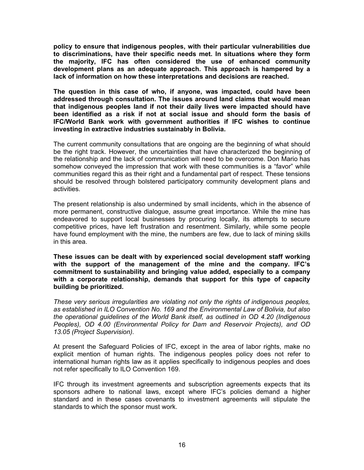**policy to ensure that indigenous peoples, with their particular vulnerabilities due to discriminations, have their specific needs met. In situations where they form the majority, IFC has often considered the use of enhanced community development plans as an adequate approach. This approach is hampered by a lack of information on how these interpretations and decisions are reached.**

**The question in this case of who, if anyone, was impacted, could have been addressed through consultation. The issues around land claims that would mean that indigenous peoples land if not their daily lives were impacted should have been identified as a risk if not at social issue and should form the basis of IFC/World Bank work with government authorities if IFC wishes to continue investing in extractive industries sustainably in Bolivia.** 

The current community consultations that are ongoing are the beginning of what should be the right track. However, the uncertainties that have characterized the beginning of the relationship and the lack of communication will need to be overcome. Don Mario has somehow conveyed the impression that work with these communities is a "favor" while communities regard this as their right and a fundamental part of respect. These tensions should be resolved through bolstered participatory community development plans and activities.

The present relationship is also undermined by small incidents, which in the absence of more permanent, constructive dialogue, assume great importance. While the mine has endeavored to support local businesses by procuring locally, its attempts to secure competitive prices, have left frustration and resentment. Similarly, while some people have found employment with the mine, the numbers are few, due to lack of mining skills in this area.

**These issues can be dealt with by experienced social development staff working with the support of the management of the mine and the company. IFC's commitment to sustainability and bringing value added, especially to a company with a corporate relationship, demands that support for this type of capacity building be prioritized.** 

*These very serious irregularities are violating not only the rights of indigenous peoples, as established in ILO Convention No. 169 and the Environmental Law of Bolivia, but also the operational guidelines of the World Bank itself, as outlined in OD 4.20 (Indigenous Peoples), OD 4.00 (Environmental Policy for Dam and Reservoir Projects), and OD 13.05 (Project Supervision).* 

At present the Safeguard Policies of IFC, except in the area of labor rights, make no explicit mention of human rights. The indigenous peoples policy does not refer to international human rights law as it applies specifically to indigenous peoples and does not refer specifically to ILO Convention 169.

IFC through its investment agreements and subscription agreements expects that its sponsors adhere to national laws, except where IFC's policies demand a higher standard and in these cases covenants to investment agreements will stipulate the standards to which the sponsor must work.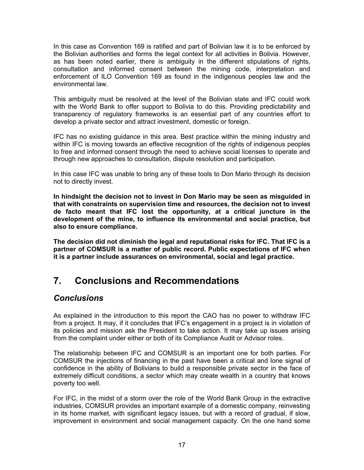<span id="page-16-0"></span>In this case as Convention 169 is ratified and part of Bolivian law it is to be enforced by the Bolivian authorities and forms the legal context for all activities in Bolivia. However, as has been noted earlier, there is ambiguity in the different stipulations of rights, consultation and informed consent between the mining code, interpretation and enforcement of ILO Convention 169 as found in the indigenous peoples law and the environmental law.

This ambiguity must be resolved at the level of the Bolivian state and IFC could work with the World Bank to offer support to Bolivia to do this. Providing predictability and transparency of regulatory frameworks is an essential part of any countries effort to develop a private sector and attract investment, domestic or foreign.

IFC has no existing guidance in this area. Best practice within the mining industry and within IFC is moving towards an effective recognition of the rights of indigenous peoples to free and informed consent through the need to achieve social licenses to operate and through new approaches to consultation, dispute resolution and participation.

In this case IFC was unable to bring any of these tools to Don Mario through its decision not to directly invest.

**In hindsight the decision not to invest in Don Mario may be seen as misguided in that with constraints on supervision time and resources, the decision not to invest de facto meant that IFC lost the opportunity, at a critical juncture in the development of the mine, to influence its environmental and social practice, but also to ensure compliance.** 

**The decision did not diminish the legal and reputational risks for IFC. That IFC is a partner of COMSUR is a matter of public record. Public expectations of IFC when it is a partner include assurances on environmental, social and legal practice.** 

# **7. Conclusions and Recommendations**

#### *Conclusions*

As explained in the introduction to this report the CAO has no power to withdraw IFC from a project. It may, if it concludes that IFC's engagement in a project is in violation of its policies and mission ask the President to take action. It may take up issues arising from the complaint under either or both of its Compliance Audit or Advisor roles.

The relationship between IFC and COMSUR is an important one for both parties. For COMSUR the injections of financing in the past have been a critical and lone signal of confidence in the ability of Bolivians to build a responsible private sector in the face of extremely difficult conditions, a sector which may create wealth in a country that knows poverty too well.

For IFC, in the midst of a storm over the role of the World Bank Group in the extractive industries, COMSUR provides an important example of a domestic company, reinvesting in its home market, with significant legacy issues, but with a record of gradual, if slow, improvement in environment and social management capacity. On the one hand some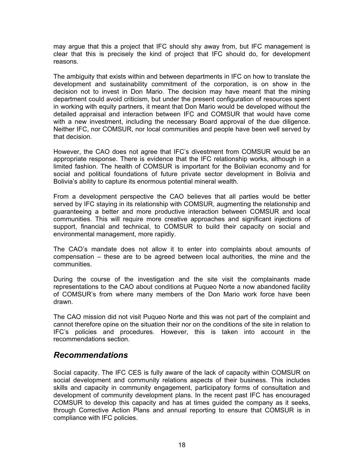<span id="page-17-0"></span>may argue that this a project that IFC should shy away from, but IFC management is clear that this is precisely the kind of project that IFC should do, for development reasons.

The ambiguity that exists within and between departments in IFC on how to translate the development and sustainability commitment of the corporation, is on show in the decision not to invest in Don Mario. The decision may have meant that the mining department could avoid criticism, but under the present configuration of resources spent in working with equity partners, it meant that Don Mario would be developed without the detailed appraisal and interaction between IFC and COMSUR that would have come with a new investment, including the necessary Board approval of the due diligence. Neither IFC, nor COMSUR, nor local communities and people have been well served by that decision.

However, the CAO does not agree that IFC's divestment from COMSUR would be an appropriate response. There is evidence that the IFC relationship works, although in a limited fashion. The health of COMSUR is important for the Bolivian economy and for social and political foundations of future private sector development in Bolivia and Bolivia's ability to capture its enormous potential mineral wealth.

From a development perspective the CAO believes that all parties would be better served by IFC staying in its relationship with COMSUR, augmenting the relationship and guaranteeing a better and more productive interaction between COMSUR and local communities. This will require more creative approaches and significant injections of support, financial and technical, to COMSUR to build their capacity on social and environmental management, more rapidly.

The CAO's mandate does not allow it to enter into complaints about amounts of compensation – these are to be agreed between local authorities, the mine and the communities.

During the course of the investigation and the site visit the complainants made representations to the CAO about conditions at Puqueo Norte a now abandoned facility of COMSUR's from where many members of the Don Mario work force have been drawn.

The CAO mission did not visit Puqueo Norte and this was not part of the complaint and cannot therefore opine on the situation their nor on the conditions of the site in relation to IFC's policies and procedures. However, this is taken into account in the recommendations section.

#### *Recommendations*

Social capacity. The IFC CES is fully aware of the lack of capacity within COMSUR on social development and community relations aspects of their business. This includes skills and capacity in community engagement, participatory forms of consultation and development of community development plans. In the recent past IFC has encouraged COMSUR to develop this capacity and has at times guided the company as it seeks, through Corrective Action Plans and annual reporting to ensure that COMSUR is in compliance with IFC policies.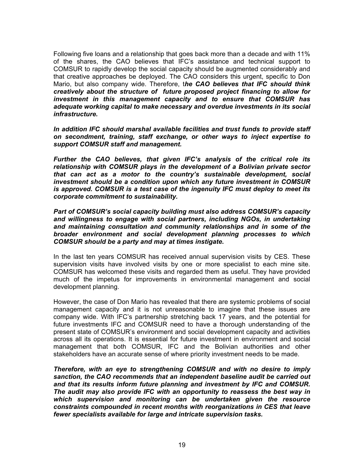Following five loans and a relationship that goes back more than a decade and with 11% of the shares, the CAO believes that IFC's assistance and technical support to COMSUR to rapidly develop the social capacity should be augmented considerably and that creative approaches be deployed. The CAO considers this urgent, specific to Don Mario, but also company wide. Therefore, t*he CAO believes that IFC should think creatively about the structure of future proposed project financing to allow for investment in this management capacity and to ensure that COMSUR has adequate working capital to make necessary and overdue investments in its social infrastructure.* 

*In addition IFC should marshal available facilities and trust funds to provide staff on secondment, training, staff exchange, or other ways to inject expertise to support COMSUR staff and management.* 

*Further the CAO believes, that given IFC's analysis of the critical role its relationship with COMSUR plays in the development of a Bolivian private sector that can act as a motor to the country's sustainable development, social investment should be a condition upon which any future investment in COMSUR is approved. COMSUR is a test case of the ingenuity IFC must deploy to meet its corporate commitment to sustainability.* 

*Part of COMSUR's social capacity building must also address COMSUR's capacity and willingness to engage with social partners, including NGOs, in undertaking and maintaining consultation and community relationships and in some of the broader environment and social development planning processes to which COMSUR should be a party and may at times instigate.* 

In the last ten years COMSUR has received annual supervision visits by CES. These supervision visits have involved visits by one or more specialist to each mine site. COMSUR has welcomed these visits and regarded them as useful. They have provided much of the impetus for improvements in environmental management and social development planning.

However, the case of Don Mario has revealed that there are systemic problems of social management capacity and it is not unreasonable to imagine that these issues are company wide. With IFC's partnership stretching back 17 years, and the potential for future investments IFC and COMSUR need to have a thorough understanding of the present state of COMSUR's environment and social development capacity and activities across all its operations. It is essential for future investment in environment and social management that both COMSUR, IFC and the Bolivian authorities and other stakeholders have an accurate sense of where priority investment needs to be made.

*Therefore, with an eye to strengthening COMSUR and with no desire to imply sanction, the CAO recommends that an independent baseline audit be carried out and that its results inform future planning and investment by IFC and COMSUR. The audit may also provide IFC with an opportunity to reassess the best way in which supervision and monitoring can be undertaken given the resource constraints compounded in recent months with reorganizations in CES that leave fewer specialists available for large and intricate supervision tasks.*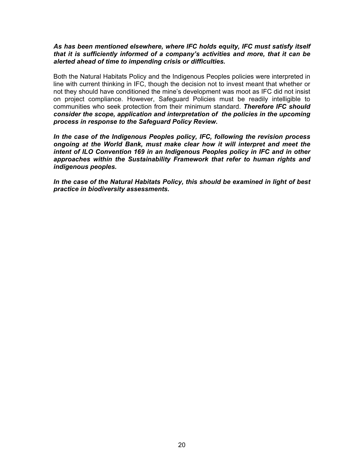#### *As has been mentioned elsewhere, where IFC holds equity, IFC must satisfy itself that it is sufficiently informed of a company's activities and more, that it can be alerted ahead of time to impending crisis or difficulties.*

Both the Natural Habitats Policy and the Indigenous Peoples policies were interpreted in line with current thinking in IFC, though the decision not to invest meant that whether or not they should have conditioned the mine's development was moot as IFC did not insist on project compliance. However, Safeguard Policies must be readily intelligible to communities who seek protection from their minimum standard. *Therefore IFC should consider the scope, application and interpretation of the policies in the upcoming process in response to the Safeguard Policy Review.* 

*In the case of the Indigenous Peoples policy, IFC, following the revision process ongoing at the World Bank, must make clear how it will interpret and meet the intent of ILO Convention 169 in an Indigenous Peoples policy in IFC and in other approaches within the Sustainability Framework that refer to human rights and indigenous peoples.* 

*In the case of the Natural Habitats Policy, this should be examined in light of best practice in biodiversity assessments.*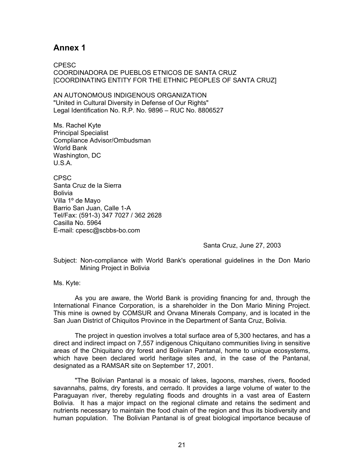#### <span id="page-20-0"></span>**Annex 1**

CPESC COORDINADORA DE PUEBLOS ETNICOS DE SANTA CRUZ [COORDINATING ENTITY FOR THE ETHNIC PEOPLES OF SANTA CRUZ]

AN AUTONOMOUS INDIGENOUS ORGANIZATION "United in Cultural Diversity in Defense of Our Rights" Legal Identification No. R.P. No. 9896 – RUC No. 8806527

Ms. Rachel Kyte Principal Specialist Compliance Advisor/Ombudsman World Bank Washington, DC U.S.A.

CPSC Santa Cruz de la Sierra Bolivia Villa 1º de Mayo Barrio San Juan, Calle 1-A Tel/Fax: (591-3) 347 7027 / 362 2628 Casilla No. 5964 E-mail: cpesc@scbbs-bo.com

Santa Cruz, June 27, 2003

Subject: Non-compliance with World Bank's operational guidelines in the Don Mario Mining Project in Bolivia

Ms. Kyte:

As you are aware, the World Bank is providing financing for and, through the International Finance Corporation, is a shareholder in the Don Mario Mining Project. This mine is owned by COMSUR and Orvana Minerals Company, and is located in the San Juan District of Chiquitos Province in the Department of Santa Cruz, Bolivia.

The project in question involves a total surface area of 5,300 hectares, and has a direct and indirect impact on 7,557 indigenous Chiquitano communities living in sensitive areas of the Chiquitano dry forest and Bolivian Pantanal, home to unique ecosystems, which have been declared world heritage sites and, in the case of the Pantanal, designated as a RAMSAR site on September 17, 2001.

"The Bolivian Pantanal is a mosaic of lakes, lagoons, marshes, rivers, flooded savannahs, palms, dry forests, and cerrado. It provides a large volume of water to the Paraguayan river, thereby regulating floods and droughts in a vast area of Eastern Bolivia. It has a major impact on the regional climate and retains the sediment and nutrients necessary to maintain the food chain of the region and thus its biodiversity and human population. The Bolivian Pantanal is of great biological importance because of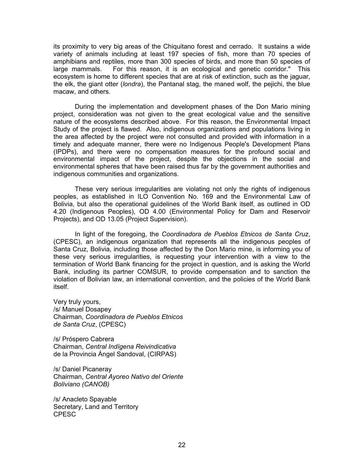its proximity to very big areas of the Chiquitano forest and cerrado. It sustains a wide variety of animals including at least 197 species of fish, more than 70 species of amphibians and reptiles, more than 300 species of birds, and more than 50 species of large mammals. For this reason, it is an ecological and genetic corridor." This ecosystem is home to different species that are at risk of extinction, such as the jaguar, the elk, the giant otter (*londra*), the Pantanal stag, the maned wolf, the pejichi, the blue macaw, and others.

During the implementation and development phases of the Don Mario mining project, consideration was not given to the great ecological value and the sensitive nature of the ecosystems described above. For this reason, the Environmental Impact Study of the project is flawed. Also, indigenous organizations and populations living in the area affected by the project were not consulted and provided with information in a timely and adequate manner, there were no Indigenous People's Development Plans (IPDPs), and there were no compensation measures for the profound social and environmental impact of the project, despite the objections in the social and environmental spheres that have been raised thus far by the government authorities and indigenous communities and organizations.

These very serious irregularities are violating not only the rights of indigenous peoples, as established in ILO Convention No. 169 and the Environmental Law of Bolivia, but also the operational guidelines of the World Bank itself, as outlined in OD 4.20 (Indigenous Peoples), OD 4.00 (Environmental Policy for Dam and Reservoir Projects), and OD 13.05 (Project Supervision).

In light of the foregoing, the *Coordinadora de Pueblos Etnicos de Santa Cruz*, (CPESC), an indigenous organization that represents all the indigenous peoples of Santa Cruz, Bolivia, including those affected by the Don Mario mine, is informing you of these very serious irregularities, is requesting your intervention with a view to the termination of World Bank financing for the project in question, and is asking the World Bank, including its partner COMSUR, to provide compensation and to sanction the violation of Bolivian law, an international convention, and the policies of the World Bank itself.

Very truly yours, /s/ Manuel Dosapey Chairman, *Coordinadora de Pueblos Etnicos de Santa Cruz*, (CPESC)

/s/ Próspero Cabrera Chairman, *Central Indígena Reivindicativa*  de la Provincia Ángel Sandoval, (CIRPAS)

/s/ Daniel Picaneray Chairman, *Central Ayoreo Nativo del Oriente Boliviano (CANOB)* 

/s/ Anacleto Spayable Secretary, Land and Territory CPESC